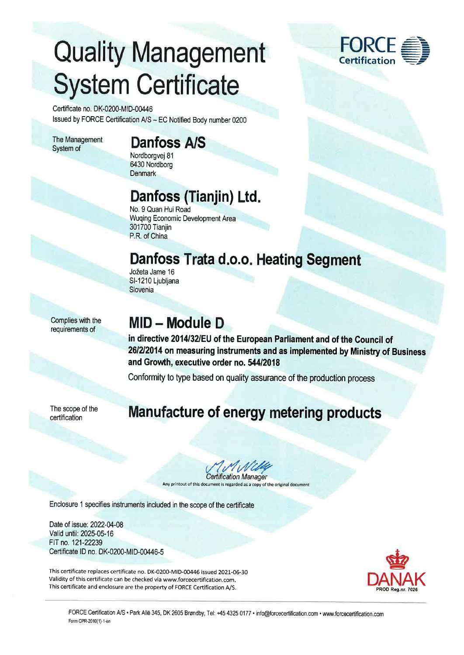# Quality Management **System Certificate**

Certificate no. DK-0200-MID-00446 Issued by FORCE Certification A/S - EC Notified Body number 0200

The Management System of

### Danfoss A/S

Nordborgvej 81 6430 Nordborg **Denmark** 

### Danfoss (Tianjin) Ltd.

No. 9 Quan Hui Road Wuqing Economic Development Area 301700 Tianjin P.R. of China

### Danfoss Trata d.o.o. Heating Segment

Jožeta Jame 16 Sl-1210 Ljubljana Slovenia

Complies with the requirements of

### MID - Module <sup>D</sup>

in directive 2014/32/EU of the European Parliament and of the Council of 26/2/2014 on measuring instruments and as implemented by Ministry of Business and Growth, executive order no. 544/2018

Conformity to type based on quality assurance of the production process

The scope of the certification

#### Manufacture of energy metering products

*MMWlff* 

Any printout of this document is regarded as a copy of the original document

Enclosure 1 specifies instruments included in the scope of the certifïcate

Date of issue: 2022-04-08 Valid until: 2025-05-16 FIT no.121-22239 Certificate ID no. DK-0200-MID-00446-5

This certificate replaces certificate no. DK-0200-MID-00446 issued 2021-06-30 Validity of this certificate can be checked via www.forcecertification.com. This certificate and enclosure are the property of FORCE Certification A/S.